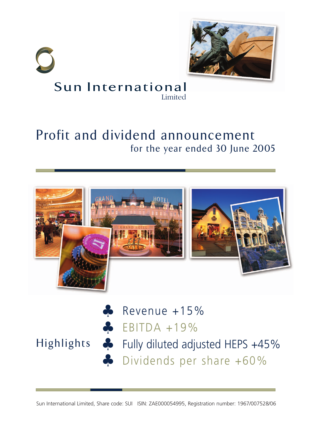

## Sun International Limited

# Profit and dividend announcement for the year ended 30 June 2005



**Highlights** 

 $\bullet$  Revenue +15%  $\bullet$  EBITDA +19% Fully diluted adjusted HEPS +45% Dividends per share +60%

Sun International Limited, Share code: SUI ISIN: ZAE000054995, Registration number: 1967/007528/06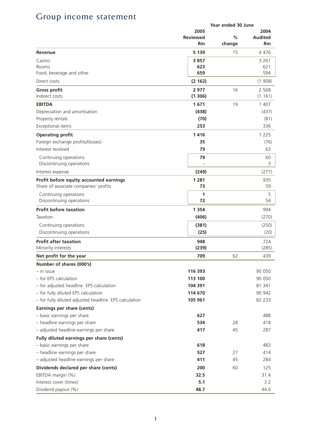# Group income statement

|                                                       |                 | Year ended 30 June |                |
|-------------------------------------------------------|-----------------|--------------------|----------------|
|                                                       | 2005            |                    | 2004           |
|                                                       | <b>Reviewed</b> | $\frac{9}{6}$      | <b>Audited</b> |
|                                                       | Rm              | change             | Rm             |
| Revenue                                               | 5 1 3 9         | 15                 | 4 4 7 6        |
| Casino                                                | 3857            |                    | 3 2 6 1        |
| Rooms                                                 | 623             |                    | 621            |
| Food, beverage and other                              | 659             |                    | 594            |
| Direct costs                                          | (2162)          |                    | (1908)         |
| <b>Gross profit</b>                                   | 2977            | 16                 | 2 5 6 8        |
| Indirect costs                                        | (1306)          |                    | (1161)         |
| <b>EBITDA</b>                                         | 1671            | 19                 | 1 407          |
| Depreciation and amortisation                         | (438)           |                    | (437)          |
| Property rentals                                      | (70)            |                    | (81)           |
| Exceptional items                                     | 253             |                    | 336            |
| <b>Operating profit</b>                               | 1416            |                    | 1 2 2 5        |
| Foreign exchange profits/(losses)                     | 35              |                    | (76)           |
| Interest received                                     | 79              |                    | 63             |
| Continuing operations                                 | 79              |                    | 60             |
| Discontinuing operations                              |                 |                    | 3              |
| Interest expense                                      | (249)           |                    | (277)          |
| Profit before equity accounted earnings               | 1 2 8 1         |                    | 935            |
| Share of associate companies' profits                 | 73              |                    | 59             |
| Continuing operations                                 | 1               |                    | 5              |
| Discontinuing operations                              | 72              |                    | 54             |
| <b>Profit before taxation</b>                         | 1 3 5 4         |                    | 994            |
| Taxation                                              | (406)           |                    | (270)          |
| Continuing operations                                 | (381)           |                    | (250)          |
| Discontinuing operations                              | (25)            |                    | (20)           |
| <b>Profit after taxation</b>                          | 948             |                    | 724            |
| Minority interests                                    | (239)           |                    | (285)          |
| Net profit for the year                               | 709             | 62                 | 439            |
| Number of shares (000's)                              |                 |                    |                |
| - in issue                                            | 116 393         |                    | 90 050         |
| - for EPS calculation                                 | 113 100         |                    | 90 050         |
| - for adjusted headline EPS calculation               | 104 391         |                    | 81 341         |
| - for fully diluted EPS calculation                   | 114 670         |                    | 90 942         |
| - for fully diluted adjusted headline EPS calculation | 105 961         |                    | 82 233         |
| Earnings per share (cents)                            |                 |                    |                |
| - basic earnings per share                            | 627             |                    | 488            |
| - headline earnings per share                         | 534             | 28                 | 418            |
| - adjusted headline earnings per share                | 417             | 45                 | 287            |
| Fully diluted earnings per share (cents)              |                 |                    |                |
| - basic earnings per share                            | 618             |                    | 483            |
| - headline earnings per share                         | 527             | 27                 | 414            |
| - adjusted headline earnings per share                | 411             | 45                 | 284            |
| Dividends declared per share (cents)                  | 200             | 60                 | 125            |
| EBITDA margin (%)                                     | 32.5            |                    | 31.4           |
| Interest cover (times)                                | 5.1             |                    | 3.2            |
| Dividend payout (%)                                   | 48.7            |                    | 44.0           |
|                                                       |                 |                    |                |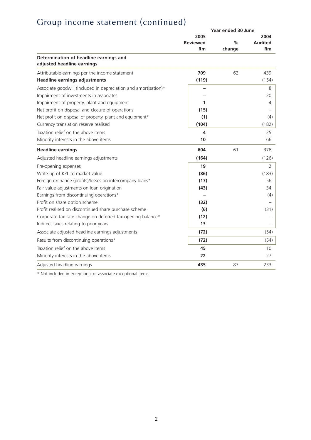# Group income statement (continued)

|                                                                      | Year ended 30 June                   |                |                       |
|----------------------------------------------------------------------|--------------------------------------|----------------|-----------------------|
|                                                                      | 2005<br><b>Reviewed</b><br><b>Rm</b> | $\%$<br>change | 2004<br>Audited<br>Rm |
| Determination of headline earnings and<br>adjusted headline earnings |                                      |                |                       |
| Attributable earnings per the income statement                       | 709                                  | 62             | 439                   |
| <b>Headline earnings adjustments</b>                                 | (119)                                |                | (154)                 |
| Associate goodwill (included in depreciation and amortisation)*      |                                      |                | 8                     |
| Impairment of investments in associates                              |                                      |                | 20                    |
| Impairment of property, plant and equipment                          | 1                                    |                | 4                     |
| Net profit on disposal and closure of operations                     | (15)                                 |                |                       |
| Net profit on disposal of property, plant and equipment*             | (1)                                  |                | (4)                   |
| Currency translation reserve realised                                | (104)                                |                | (182)                 |
| Taxation relief on the above items                                   | 4                                    |                | 25                    |
| Minority interests in the above items                                | 10                                   |                | 66                    |
| <b>Headline earnings</b>                                             | 604                                  | 61             | 376                   |
| Adjusted headline earnings adjustments                               | (164)                                |                | (126)                 |
| Pre-opening expenses                                                 | 19                                   |                | 2                     |
| Write up of KZL to market value                                      | (86)                                 |                | (183)                 |
| Foreign exchange (profits)/losses on intercompany loans*             | (17)                                 |                | 56                    |
| Fair value adjustments on loan origination                           | (43)                                 |                | 34                    |
| Earnings from discontinuing operations*                              |                                      |                | (4)                   |
| Profit on share option scheme                                        | (32)                                 |                |                       |
| Profit realised on discontinued share purchase scheme                | (6)                                  |                | (31)                  |
| Corporate tax rate change on deferred tax opening balance*           | (12)                                 |                |                       |
| Indirect taxes relating to prior years                               | 13                                   |                |                       |
| Associate adjusted headline earnings adjustments                     | (72)                                 |                | (54)                  |
| Results from discontinuing operations*                               | (72)                                 |                | (54)                  |
| Taxation relief on the above items                                   | 45                                   |                | 10                    |
| Minority interests in the above items                                | 22                                   |                | 27                    |
| Adjusted headline earnings                                           | 435                                  | 87             | 233                   |

\* Not included in exceptional or associate exceptional items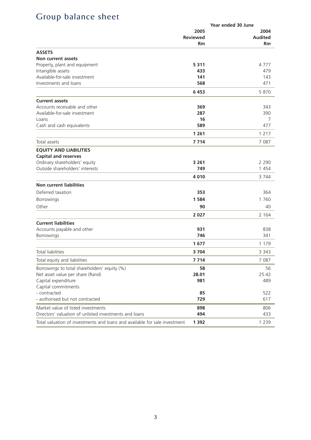## Group balance sheet

|                                                                            | Year ended 30 June |                |
|----------------------------------------------------------------------------|--------------------|----------------|
|                                                                            | 2005               | 2004           |
|                                                                            | <b>Reviewed</b>    | <b>Audited</b> |
|                                                                            | Rm                 | Rm             |
| <b>ASSETS</b>                                                              |                    |                |
| Non current assets                                                         |                    |                |
| Property, plant and equipment                                              | 5311               | 4777           |
| Intangible assets                                                          | 433                | 479            |
| Available-for-sale investment                                              | 141                | 143            |
| Investments and loans                                                      | 568                | 471            |
|                                                                            | 6453               | 5 870          |
| <b>Current assets</b>                                                      |                    |                |
| Accounts receivable and other                                              | 369                | 343            |
| Available-for-sale investment                                              | 287                | 390            |
| Loans                                                                      | 16                 | 7              |
| Cash and cash equivalents                                                  | 589                | 477            |
|                                                                            | 1 2 6 1            | 1 2 1 7        |
| Total assets                                                               | 7 7 1 4            | 7 087          |
| <b>EOUITY AND LIABILITIES</b>                                              |                    |                |
| <b>Capital and reserves</b>                                                |                    |                |
| Ordinary shareholders' equity                                              | 3 2 6 1            | 2 2 9 0        |
| Outside shareholders' interests                                            | 749                | 1454           |
|                                                                            | 4 0 1 0            | 3 7 4 4        |
| <b>Non current liabilities</b>                                             |                    |                |
| Deferred taxation                                                          | 353                | 364            |
| Borrowings                                                                 | 1 5 8 4            | 1 760          |
| Other                                                                      | 90                 | 40             |
|                                                                            | 2 0 2 7            | 2 1 6 4        |
| <b>Current liabilities</b>                                                 |                    |                |
| Accounts payable and other                                                 | 931                | 838            |
| Borrowings                                                                 | 746                | 341            |
|                                                                            | 1677               | 1 1 7 9        |
| <b>Total liabilities</b>                                                   | 3704               | 3 3 4 3        |
| Total equity and liabilities                                               | 7 7 1 4            | 7 0 8 7        |
| Borrowings to total shareholders' equity (%)                               | 58                 | 56             |
| Net asset value per share (Rand)                                           | 28.01              | 25.42          |
| Capital expenditure                                                        | 981                | 489            |
| Capital commitments                                                        |                    |                |
| - contracted                                                               | 85                 | 522            |
| - authorised but not contracted                                            | 729                | 617            |
| Market value of listed investments                                         | 898                | 806            |
| Directors' valuation of unlisted investments and loans                     | 494                | 433            |
| Total valuation of investments and loans and available for sale investment | 1 3 9 2            | 1 2 3 9        |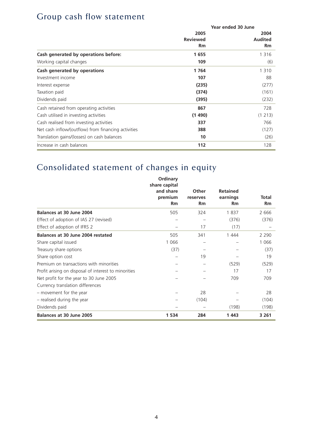#### Group cash flow statement

|                                                     | Year ended 30 June |           |  |
|-----------------------------------------------------|--------------------|-----------|--|
|                                                     | 2005               | 2004      |  |
|                                                     | <b>Reviewed</b>    | Audited   |  |
|                                                     | Rm                 | <b>Rm</b> |  |
| Cash generated by operations before:                | 1655               | 1 3 1 6   |  |
| Working capital changes                             | 109                | (6)       |  |
| Cash generated by operations                        | 1764               | 1 3 1 0   |  |
| Investment income                                   | 107                | 88        |  |
| Interest expense                                    | (235)              | (277)     |  |
| Taxation paid                                       | (374)              | (161)     |  |
| Dividends paid                                      | (395)              | (232)     |  |
| Cash retained from operating activities             | 867                | 728       |  |
| Cash utilised in investing activities               | (1490)             | (1 213)   |  |
| Cash realised from investing activities             | 337                | 766       |  |
| Net cash inflow/(outflow) from financing activities | 388                | (127)     |  |
| Translation gains/(losses) on cash balances         | 10                 | (26)      |  |
| Increase in cash balances                           | 112                | 128       |  |

# Consolidated statement of changes in equity

|                                                      | Ordinary<br>share capital |                       |                 |             |
|------------------------------------------------------|---------------------------|-----------------------|-----------------|-------------|
|                                                      | and share                 | Other                 | <b>Retained</b> |             |
|                                                      | premium<br>Rm             | reserves<br><b>Rm</b> | earnings<br>Rm  | Total<br>Rm |
| Balances at 30 June 2004                             | 505                       | 324                   | 1837            | 2666        |
| Effect of adoption of IAS 27 (revised)               |                           |                       | (376)           | (376)       |
| Effect of adoption of IFRS 2                         |                           | 17                    | (17)            |             |
| Balances at 30 June 2004 restated                    | 505                       | 341                   | 1 4 4 4         | 2 2 9 0     |
| Share capital issued                                 | 1 0 6 6                   |                       |                 | 1 0 6 6     |
| Treasury share options                               | (37)                      |                       |                 | (37)        |
| Share option cost                                    |                           | 19                    |                 | 19          |
| Premium on transactions with minorities              |                           |                       | (529)           | (529)       |
| Profit arising on disposal of interest to minorities |                           |                       | 17              | 17          |
| Net profit for the year to 30 June 2005              |                           |                       | 709             | 709         |
| Currency translation differences                     |                           |                       |                 |             |
| - movement for the year                              |                           | 28                    |                 | 28          |
| - realised during the year                           |                           | (104)                 |                 | (104)       |
| Dividends paid                                       |                           |                       | (198)           | (198)       |
| Balances at 30 June 2005                             | 1 5 3 4                   | 284                   | 1443            | 3 2 6 1     |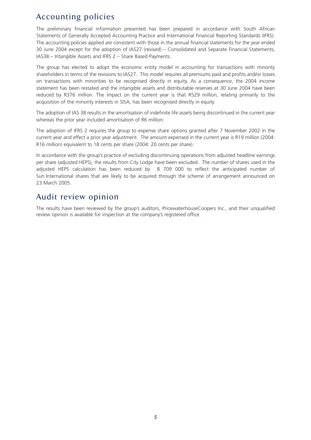#### Accounting policies

The preliminary financial information presented has been prepared in accordance with South African Statements of Generally Accepted Accounting Practice and International Financial Reporting Standards (IFRS). The accounting policies applied are consistent with those in the annual financial statements for the year ended 30 June 2004 except for the adoption of IAS27 (revised) – Consolidated and Separate Financial Statements, IAS38 – Intangible Assets and IFRS 2 – Share Based Payments.

The group has elected to adopt the economic entity model in accounting for transactions with minority shareholders in terms of the revisions to IAS27. This model requires all premiums paid and profits and/or losses on transactions with minorities to be recognised directly in equity. As a consequence, the 2004 income statement has been restated and the intangible assets and distributable reserves at 30 June 2004 have been reduced by R376 million. The impact on the current year is that R529 million, relating primarily to the acquisition of the minority interests in SISA, has been recognised directly in equity.

The adoption of IAS 38 results in the amortisation of indefinite life assets being discontinued in the current year whereas the prior year included amortisation of R6 million.

The adoption of IFRS 2 requires the group to expense share options granted after 7 November 2002 in the current year and effect a prior year adjustment. The amount expensed in the current year is R19 million (2004: R16 million) equivalent to 18 cents per share (2004: 20 cents per share).

In accordance with the group's practice of excluding discontinuing operations from adjusted headline earnings per share (adjusted HEPS), the results from City Lodge have been excluded. The number of shares used in the adjusted HEPS calculation has been reduced by 8 709 000 to reflect the anticipated number of Sun International shares that are likely to be acquired through the scheme of arrangement announced on 23 March 2005.

#### Audit review opinion

The results have been reviewed by the group's auditors, PricewaterhouseCoopers Inc., and their unqualified review opinion is available for inspection at the company's registered office.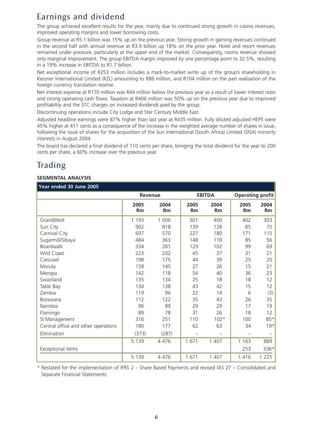## Earnings and dividend

The group achieved excellent results for the year, mainly due to continued strong growth in casino revenues, improved operating margins and lower borrowing costs.

Group revenue at R5.1 billion was 15% up on the previous year. Strong growth in gaming revenues continued in the second half with annual revenue at R3.9 billion up 18% on the prior year. Hotel and resort revenues remained under pressure, particularly at the upper end of the market. Consequently, rooms revenue showed only marginal improvement. The group EBITDA margin improved by one percentage point to 32.5%, resulting in a 19% increase in EBITDA to R1.7 billion.

Net exceptional income of R253 million includes a mark-to-market write up of the group's shareholding in Kerzner International Limited (KZL) amounting to R86 million, and R104 million on the part realisation of the foreign currency translation reserve.

Net interest expense at R170 million was R44 million below the previous year as a result of lower interest rates and strong operating cash flows. Taxation at R406 million was 50% up on the previous year due to improved profitability and the STC charges on increased dividends paid by the group.

Discontinuing operations include City Lodge and Ster Century Middle East.

Adjusted headline earnings were 87% higher than last year at R435 million. Fully diluted adjusted HEPS were 45% higher at 411 cents as a consequence of the increase in the weighted average number of shares in issue, following the issue of shares for the acquisition of the Sun International (South Africa) Limited (SISA) minority interests in August 2004.

The board has declared a final dividend of 110 cents per share, bringing the total dividend for the year to 200 cents per share, a 60% increase over the previous year.

## Trading

#### **SEGMENTAL ANALYSIS**

#### **Year ended 30 June 2005**

|                                     | Revenue    |            | <b>EBITDA</b> |            | <b>Operating profit</b>  |                   |
|-------------------------------------|------------|------------|---------------|------------|--------------------------|-------------------|
|                                     | 2005<br>Rm | 2004<br>Rm | 2005<br>Rm    | 2004<br>Rm | 2005<br>Rm               | 2004<br><b>Rm</b> |
| GrandWest                           | 1 1 9 3    | 1 0 0 6    | 501           | 400        | 402                      | 303               |
| Sun City                            | 902        | 818        | 139           | 128        | 65                       | 70                |
| Carnival City                       | 697        | 570        | 227           | 180        | 171                      | 115               |
| Sugarmill/Sibaya                    | 484        | 363        | 148           | 118        | 85                       | 56                |
| Boardwalk                           | 334        | 281        | 129           | 102        | 99                       | 69                |
| Wild Coast                          | 223        | 202        | 45            | 37         | 31                       | 21                |
| Carousel                            | 198        | 175        | 44            | 39         | 25                       | 20                |
| Morula                              | 158        | 145        | 27            | 26         | 15                       | 21                |
| Meropa                              | 142        | 118        | 54            | 40         | 36                       | 23                |
| Swaziland                           | 135        | 134        | 25            | 18         | 18                       | 12                |
| Table Bay                           | 134        | 138        | 43            | 42         | 15                       | 12                |
| Zambia                              | 119        | 96         | 22            | 14         | 6                        | (3)               |
| <b>Botswana</b>                     | 112        | 122        | 35            | 43         | 26                       | 35                |
| Namibia                             | 96         | 89         | 29            | 29         | 17                       | 19                |
| Flamingo                            | 89         | 78         | 31            | 26         | 18                       | 12                |
| SI Management                       | 316        | 251        | 110           | $102*$     | 100                      | 85*               |
| Central office and other operations | 180        | 177        | 62            | 63         | 34                       | $19*$             |
| Elimination                         | (373)      | (287)      |               |            | $\overline{\phantom{a}}$ |                   |
|                                     | 5 1 3 9    | 4 4 7 6    | 1671          | 1 407      | 1 1 6 3                  | 889               |
| Exceptional items                   |            |            |               |            | 253                      | 336*              |
|                                     | 5 1 3 9    | 4 4 7 6    | 1671          | 1 407      | 1416                     | 1 2 2 5           |

\* Restated for the implementation of IFRS 2 – Share Based Payments and revised IAS 27 – Consolidated and Separate Financial Statements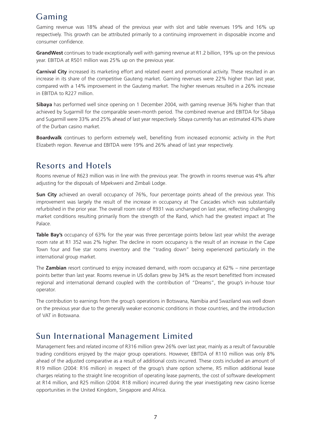#### Gaming

Gaming revenue was 18% ahead of the previous year with slot and table revenues 19% and 16% up respectively. This growth can be attributed primarily to a continuing improvement in disposable income and consumer confidence.

**GrandWest** continues to trade exceptionally well with gaming revenue at R1.2 billion, 19% up on the previous year. EBITDA at R501 million was 25% up on the previous year.

**Carnival City** increased its marketing effort and related event and promotional activity. These resulted in an increase in its share of the competitive Gauteng market. Gaming revenues were 22% higher than last year, compared with a 14% improvement in the Gauteng market. The higher revenues resulted in a 26% increase in EBITDA to R227 million.

**Sibaya** has performed well since opening on 1 December 2004, with gaming revenue 36% higher than that achieved by Sugarmill for the comparable seven-month period. The combined revenue and EBITDA for Sibaya and Sugarmill were 33% and 25% ahead of last year respectively. Sibaya currently has an estimated 43% share of the Durban casino market.

**Boardwalk** continues to perform extremely well, benefiting from increased economic activity in the Port Elizabeth region. Revenue and EBITDA were 19% and 26% ahead of last year respectively.

#### Resorts and Hotels

Rooms revenue of R623 million was in line with the previous year. The growth in rooms revenue was 4% after adjusting for the disposals of Mpekweni and Zimbali Lodge.

**Sun City** achieved an overall occupancy of 76%, four percentage points ahead of the previous year. This improvement was largely the result of the increase in occupancy at The Cascades which was substantially refurbished in the prior year. The overall room rate of R931 was unchanged on last year, reflecting challenging market conditions resulting primarily from the strength of the Rand, which had the greatest impact at The Palace.

**Table Bay's** occupancy of 63% for the year was three percentage points below last year whilst the average room rate at R1 352 was 2% higher. The decline in room occupancy is the result of an increase in the Cape Town four and five star rooms inventory and the "trading down" being experienced particularly in the international group market.

The **Zambian** resort continued to enjoy increased demand, with room occupancy at 62% – nine percentage points better than last year. Rooms revenue in US dollars grew by 34% as the resort benefitted from increased regional and international demand coupled with the contribution of "Dreams", the group's in-house tour operator.

The contribution to earnings from the group's operations in Botswana, Namibia and Swaziland was well down on the previous year due to the generally weaker economic conditions in those countries, and the introduction of VAT in Botswana.

#### Sun International Management Limited

Management fees and related income of R316 million grew 26% over last year, mainly as a result of favourable trading conditions enjoyed by the major group operations. However, EBITDA of R110 million was only 8% ahead of the adjusted comparative as a result of additional costs incurred. These costs included an amount of R19 million (2004: R16 million) in respect of the group's share option scheme, R5 million additional lease charges relating to the straight line recognition of operating lease payments, the cost of software development at R14 million, and R25 million (2004: R18 million) incurred during the year investigating new casino license opportunities in the United Kingdom, Singapore and Africa.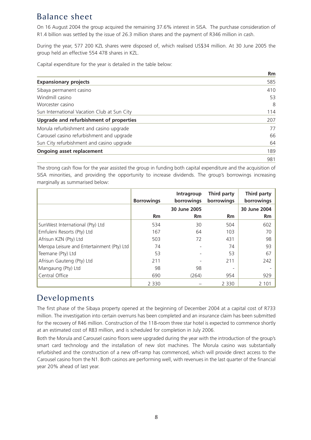### Balance sheet

On 16 August 2004 the group acquired the remaining 37.6% interest in SISA. The purchase consideration of R1.4 billion was settled by the issue of 26.3 million shares and the payment of R346 million in cash.

During the year, 577 200 KZL shares were disposed of, which realised US\$34 million. At 30 June 2005 the group held an effective 554 478 shares in KZL.

Capital expenditure for the year is detailed in the table below:

|                                             | <b>Rm</b> |
|---------------------------------------------|-----------|
| <b>Expansionary projects</b>                | 585       |
| Sibaya permanent casino                     | 410       |
| Windmill casino                             | 53        |
| Worcester casino                            | 8         |
| Sun International Vacation Club at Sun City | 114       |
| Upgrade and refurbishment of properties     | 207       |
| Morula refurbishment and casino upgrade     | 77        |
| Carousel casino refurbishment and upgrade   | 66        |
| Sun City refurbishment and casino upgrade   | 64        |
| Ongoing asset replacement                   | 189       |
|                                             | 981       |

The strong cash flow for the year assisted the group in funding both capital expenditure and the acquisition of SISA minorities, and providing the opportunity to increase dividends. The group's borrowings increasing marginally as summarised below:

|                                            | <b>Borrowings</b> | Intragroup<br>borrowings | Third party<br>borrowings | Third party<br>borrowings |
|--------------------------------------------|-------------------|--------------------------|---------------------------|---------------------------|
|                                            |                   | 30 June 2005             |                           | 30 June 2004              |
|                                            | <b>Rm</b>         | <b>Rm</b>                | <b>Rm</b>                 | <b>Rm</b>                 |
| SunWest International (Pty) Ltd            | 534               | 30                       | 504                       | 602                       |
| Emfuleni Resorts (Pty) Ltd                 | 167               | 64                       | 103                       | 70                        |
| Afrisun KZN (Pty) Ltd                      | 503               | 72                       | 431                       | 98                        |
| Meropa Leisure and Entertainment (Pty) Ltd | 74                |                          | 74                        | 93                        |
| Teemane (Pty) Ltd                          | 53                |                          | 53                        | 67                        |
| Afrisun Gauteng (Pty) Ltd                  | 211               |                          | 211                       | 242                       |
| Mangaung (Pty) Ltd                         | 98                | 98                       |                           |                           |
| Central Office                             | 690               | (264)                    | 954                       | 929                       |
|                                            | 2 3 3 0           |                          | 2 3 3 0                   | 2 1 0 1                   |

#### Developments

The first phase of the Sibaya property opened at the beginning of December 2004 at a capital cost of R733 million. The investigation into certain overruns has been completed and an insurance claim has been submitted for the recovery of R46 million. Construction of the 118-room three star hotel is expected to commence shortly at an estimated cost of R83 million, and is scheduled for completion in July 2006.

Both the Morula and Carousel casino floors were upgraded during the year with the introduction of the group's smart card technology and the installation of new slot machines. The Morula casino was substantially refurbished and the construction of a new off-ramp has commenced, which will provide direct access to the Carousel casino from the N1. Both casinos are performing well, with revenues in the last quarter of the financial year 20% ahead of last year.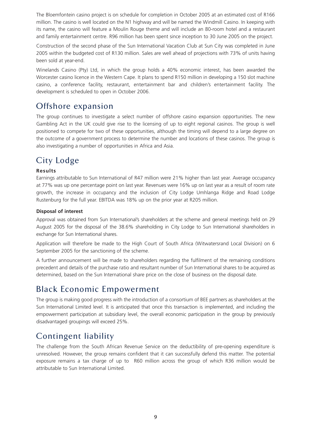The Bloemfontein casino project is on schedule for completion in October 2005 at an estimated cost of R166 million. The casino is well located on the N1 highway and will be named the Windmill Casino. In keeping with its name, the casino will feature a Moulin Rouge theme and will include an 80-room hotel and a restaurant and family entertainment centre. R96 million has been spent since inception to 30 June 2005 on the project.

Construction of the second phase of the Sun International Vacation Club at Sun City was completed in June 2005 within the budgeted cost of R130 million. Sales are well ahead of projections with 73% of units having been sold at year-end.

Winelands Casino (Pty) Ltd, in which the group holds a 40% economic interest, has been awarded the Worcester casino licence in the Western Cape. It plans to spend R150 million in developing a 150 slot machine casino, a conference facility, restaurant, entertainment bar and children's entertainment facility. The development is scheduled to open in October 2006.

#### Offshore expansion

The group continues to investigate a select number of offshore casino expansion opportunities. The new Gambling Act in the UK could give rise to the licensing of up to eight regional casinos. The group is well positioned to compete for two of these opportunities, although the timing will depend to a large degree on the outcome of a government process to determine the number and locations of these casinos. The group is also investigating a number of opportunities in Africa and Asia.

#### City Lodge

#### **Results**

Earnings attributable to Sun International of R47 million were 21% higher than last year. Average occupancy at 77% was up one percentage point on last year. Revenues were 16% up on last year as a result of room rate growth, the increase in occupancy and the inclusion of City Lodge Umhlanga Ridge and Road Lodge Rustenburg for the full year. EBITDA was 18% up on the prior year at R205 million.

#### **Disposal of interest**

Approval was obtained from Sun International's shareholders at the scheme and general meetings held on 29 August 2005 for the disposal of the 38.6% shareholding in City Lodge to Sun International shareholders in exchange for Sun International shares.

Application will therefore be made to the High Court of South Africa (Witwatersrand Local Division) on 6 September 2005 for the sanctioning of the scheme.

A further announcement will be made to shareholders regarding the fulfilment of the remaining conditions precedent and details of the purchase ratio and resultant number of Sun International shares to be acquired as determined, based on the Sun International share price on the close of business on the disposal date.

#### Black Economic Empowerment

The group is making good progress with the introduction of a consortium of BEE partners as shareholders at the Sun International Limited level. It is anticipated that once this transaction is implemented, and including the empowerment participation at subsidiary level, the overall economic participation in the group by previously disadvantaged groupings will exceed 25%.

#### Contingent liability

The challenge from the South African Revenue Service on the deductibility of pre-opening expenditure is unresolved. However, the group remains confident that it can successfully defend this matter. The potential exposure remains a tax charge of up to R60 million across the group of which R36 million would be attributable to Sun International Limited.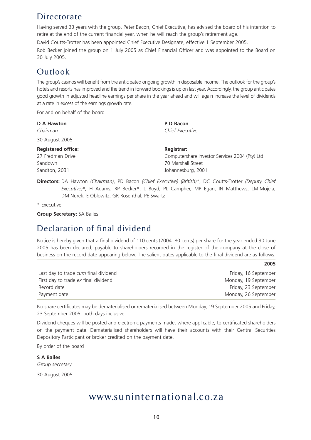#### **Directorate**

Having served 33 years with the group, Peter Bacon, Chief Executive, has advised the board of his intention to retire at the end of the current financial year, when he will reach the group's retirement age.

David Coutts-Trotter has been appointed Chief Executive Designate, effective 1 September 2005.

Rob Becker joined the group on 1 July 2005 as Chief Financial Officer and was appointed to the Board on 30 July 2005.

#### Outlook

The group's casinos will benefit from the anticipated ongoing growth in disposable income. The outlook for the group's hotels and resorts has improved and the trend in forward bookings is up on last year. Accordingly, the group anticipates good growth in adjusted headline earnings per share in the year ahead and will again increase the level of dividends at a rate in excess of the earnings growth rate.

For and on behalf of the board

| <b>D A Hawton</b>         | P D Bacon                                      |
|---------------------------|------------------------------------------------|
| Chairman                  | Chief Executive                                |
| 30 August 2005            |                                                |
| <b>Registered office:</b> | Registrar:                                     |
| 27 Fredman Drive          | Computershare Investor Services 2004 (Pty) Ltd |
| Sandown                   | 70 Marshall Street                             |
| Sandton, 2031             | Johannesburg, 2001                             |

**Directors:** DA Hawton *(Chairman)*, PD Bacon *(Chief Executive) (British)\**, DC Coutts-Trotter *(Deputy Chief Executive)\*,* H Adams, RP Becker\*, L Boyd, PL Campher, MP Egan, IN Matthews, LM Mojela, DM Nurek, E Oblowitz, GR Rosenthal, PE Swartz

\* Executive

**Group Secretary:** SA Bailes

#### Declaration of final dividend

Notice is hereby given that a final dividend of 110 cents (2004: 80 cents) per share for the year ended 30 June 2005 has been declared, payable to shareholders recorded in the register of the company at the close of business on the record date appearing below. The salient dates applicable to the final dividend are as follows:

**2005**

| Last day to trade cum final dividend | Friday, 16 September |
|--------------------------------------|----------------------|
| First day to trade ex final dividend | Monday, 19 September |
| Record date                          | Friday, 23 September |
| Payment date                         | Monday, 26 September |

No share certificates may be dematerialised or rematerialised between Monday, 19 September 2005 and Friday, 23 September 2005, both days inclusive.

Dividend cheques will be posted and electronic payments made, where applicable, to certificated shareholders on the payment date. Dematerialised shareholders will have their accounts with their Central Securities Depository Participant or broker credited on the payment date.

By order of the board

**S A Bailes** *Group secretary*

30 August 2005

## www.suninternational.co.za